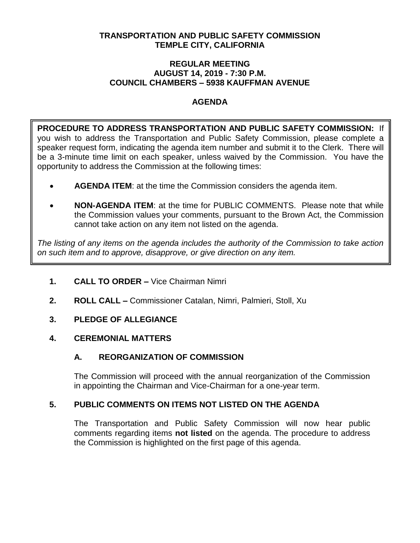### **TRANSPORTATION AND PUBLIC SAFETY COMMISSION TEMPLE CITY, CALIFORNIA**

#### **REGULAR MEETING AUGUST 14, 2019 - 7:30 P.M. COUNCIL CHAMBERS – 5938 KAUFFMAN AVENUE**

## **AGENDA**

**PROCEDURE TO ADDRESS TRANSPORTATION AND PUBLIC SAFETY COMMISSION:** If you wish to address the Transportation and Public Safety Commission, please complete a speaker request form, indicating the agenda item number and submit it to the Clerk. There will be a 3-minute time limit on each speaker, unless waived by the Commission. You have the opportunity to address the Commission at the following times:

- **AGENDA ITEM**: at the time the Commission considers the agenda item.
- **NON-AGENDA ITEM**: at the time for PUBLIC COMMENTS. Please note that while the Commission values your comments, pursuant to the Brown Act, the Commission cannot take action on any item not listed on the agenda.

*The listing of any items on the agenda includes the authority of the Commission to take action on such item and to approve, disapprove, or give direction on any item.*

- **1. CALL TO ORDER –** Vice Chairman Nimri
- **2. ROLL CALL –** Commissioner Catalan, Nimri, Palmieri, Stoll, Xu
- **3. PLEDGE OF ALLEGIANCE**

## **4. CEREMONIAL MATTERS**

# **A. REORGANIZATION OF COMMISSION**

The Commission will proceed with the annual reorganization of the Commission in appointing the Chairman and Vice-Chairman for a one-year term.

# **5. PUBLIC COMMENTS ON ITEMS NOT LISTED ON THE AGENDA**

The Transportation and Public Safety Commission will now hear public comments regarding items **not listed** on the agenda. The procedure to address the Commission is highlighted on the first page of this agenda.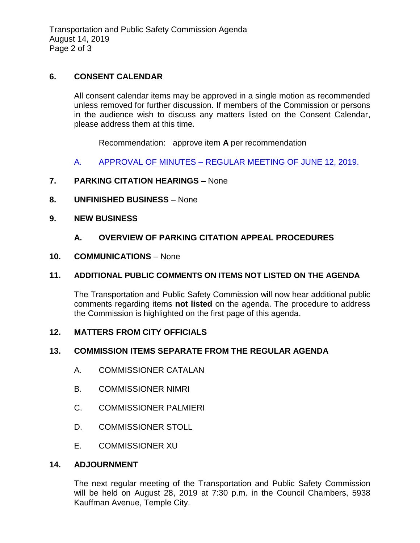Transportation and Public Safety Commission Agenda August 14, 2019 Page 2 of 3

### **6. CONSENT CALENDAR**

All consent calendar items may be approved in a single motion as recommended unless removed for further discussion. If members of the Commission or persons in the audience wish to discuss any matters listed on the Consent Calendar, please address them at this time.

Recommendation: approve item **A** per recommendation

A. APPROVAL OF MINUTES – [REGULAR MEETING OF JUNE 12, 2019.](https://ca-templecity.civicplus.com/DocumentCenter/View/12935/TPSC-min-2019-06-12)

### **7. PARKING CITATION HEARINGS –** None

- **8. UNFINISHED BUSINESS** None
- **9. NEW BUSINESS**
	- **A. OVERVIEW OF PARKING CITATION APPEAL PROCEDURES**
- **10. COMMUNICATIONS** None

### **11. ADDITIONAL PUBLIC COMMENTS ON ITEMS NOT LISTED ON THE AGENDA**

The Transportation and Public Safety Commission will now hear additional public comments regarding items **not listed** on the agenda. The procedure to address the Commission is highlighted on the first page of this agenda.

### **12. MATTERS FROM CITY OFFICIALS**

### **13. COMMISSION ITEMS SEPARATE FROM THE REGULAR AGENDA**

- A. COMMISSIONER CATALAN
- B. COMMISSIONER NIMRI
- C. COMMISSIONER PALMIERI
- D. COMMISSIONER STOLL
- E. COMMISSIONER XU

### **14. ADJOURNMENT**

The next regular meeting of the Transportation and Public Safety Commission will be held on August 28, 2019 at 7:30 p.m. in the Council Chambers, 5938 Kauffman Avenue, Temple City.